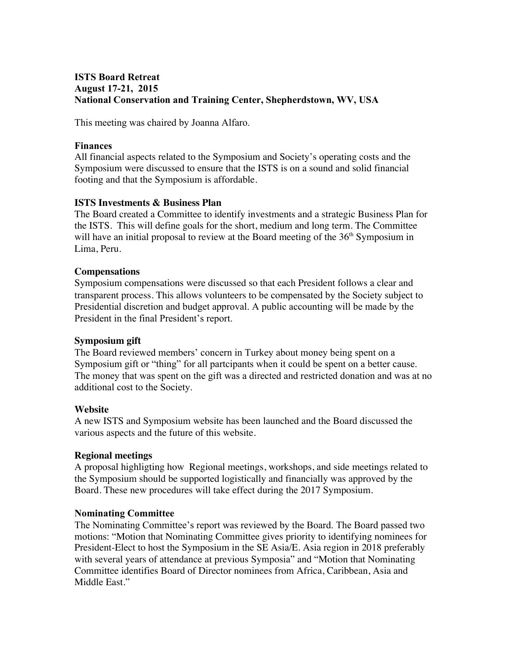# **ISTS Board Retreat August 17-21, 2015 National Conservation and Training Center, Shepherdstown, WV, USA**

This meeting was chaired by Joanna Alfaro.

### **Finances**

All financial aspects related to the Symposium and Society's operating costs and the Symposium were discussed to ensure that the ISTS is on a sound and solid financial footing and that the Symposium is affordable.

# **ISTS Investments & Business Plan**

The Board created a Committee to identify investments and a strategic Business Plan for the ISTS. This will define goals for the short, medium and long term. The Committee will have an initial proposal to review at the Board meeting of the  $36<sup>th</sup>$  Symposium in Lima, Peru.

### **Compensations**

Symposium compensations were discussed so that each President follows a clear and transparent process. This allows volunteers to be compensated by the Society subject to Presidential discretion and budget approval. A public accounting will be made by the President in the final President's report.

# **Symposium gift**

The Board reviewed members' concern in Turkey about money being spent on a Symposium gift or "thing" for all partcipants when it could be spent on a better cause. The money that was spent on the gift was a directed and restricted donation and was at no additional cost to the Society.

### **Website**

A new ISTS and Symposium website has been launched and the Board discussed the various aspects and the future of this website.

### **Regional meetings**

A proposal highligting how Regional meetings, workshops, and side meetings related to the Symposium should be supported logistically and financially was approved by the Board. These new procedures will take effect during the 2017 Symposium.

# **Nominating Committee**

The Nominating Committee's report was reviewed by the Board. The Board passed two motions: "Motion that Nominating Committee gives priority to identifying nominees for President-Elect to host the Symposium in the SE Asia/E. Asia region in 2018 preferably with several years of attendance at previous Symposia" and "Motion that Nominating Committee identifies Board of Director nominees from Africa, Caribbean, Asia and Middle East."